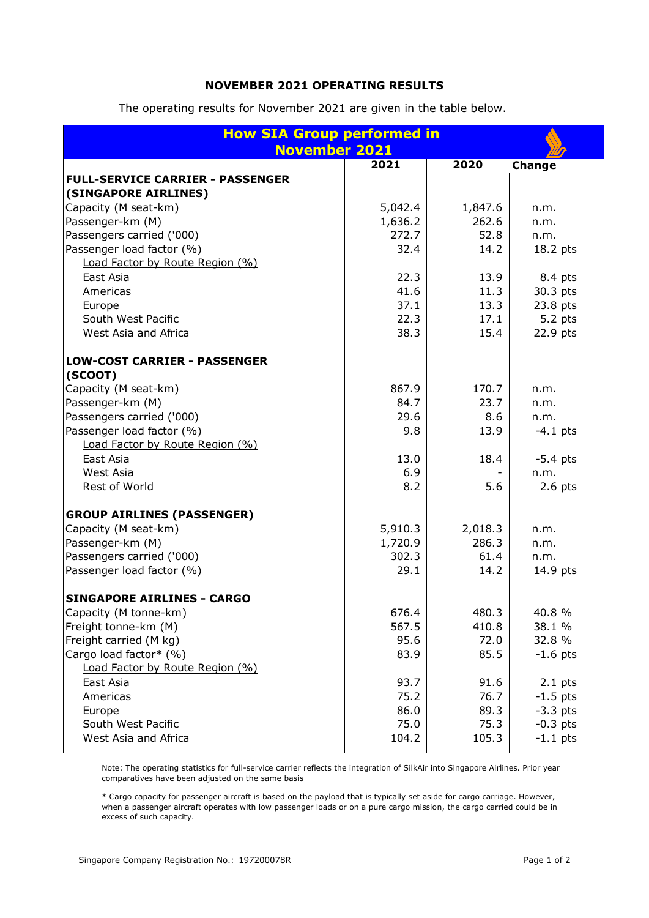## **NOVEMBER 2021 OPERATING RESULTS**

The operating results for November 2021 are given in the table below.

| <b>How SIA Group performed in</b><br><b>November 2021</b> |         |         |            |
|-----------------------------------------------------------|---------|---------|------------|
|                                                           |         |         |            |
|                                                           | 2021    | 2020    | Change     |
| <b>FULL-SERVICE CARRIER - PASSENGER</b>                   |         |         |            |
| (SINGAPORE AIRLINES)                                      |         |         |            |
| Capacity (M seat-km)                                      | 5,042.4 | 1,847.6 | n.m.       |
| Passenger-km (M)                                          | 1,636.2 | 262.6   | n.m.       |
| Passengers carried ('000)                                 | 272.7   | 52.8    | n.m.       |
| Passenger load factor (%)                                 | 32.4    | 14.2    | 18.2 pts   |
| Load Factor by Route Region (%)                           |         |         |            |
| East Asia                                                 | 22.3    | 13.9    | 8.4 pts    |
| Americas                                                  | 41.6    | 11.3    | 30.3 pts   |
| Europe                                                    | 37.1    | 13.3    | 23.8 pts   |
| South West Pacific                                        | 22.3    | 17.1    | 5.2 pts    |
| West Asia and Africa                                      | 38.3    | 15.4    | 22.9 pts   |
| <b>LOW-COST CARRIER - PASSENGER</b><br>(SCOOT)            |         |         |            |
| Capacity (M seat-km)                                      | 867.9   | 170.7   |            |
| Passenger-km (M)                                          | 84.7    | 23.7    | n.m.       |
| Passengers carried ('000)                                 |         |         | n.m.       |
|                                                           | 29.6    | 8.6     | n.m.       |
| Passenger load factor (%)                                 | 9.8     | 13.9    | $-4.1$ pts |
| Load Factor by Route Region (%)                           |         |         |            |
| East Asia                                                 | 13.0    | 18.4    | $-5.4$ pts |
| West Asia                                                 | 6.9     |         | n.m.       |
| Rest of World                                             | 8.2     | 5.6     | $2.6$ pts  |
| <b>GROUP AIRLINES (PASSENGER)</b>                         |         |         |            |
| Capacity (M seat-km)                                      | 5,910.3 | 2,018.3 | n.m.       |
| Passenger-km (M)                                          | 1,720.9 | 286.3   | n.m.       |
| Passengers carried ('000)                                 | 302.3   | 61.4    | n.m.       |
| Passenger load factor (%)                                 | 29.1    | 14.2    | 14.9 pts   |
| <b>SINGAPORE AIRLINES - CARGO</b>                         |         |         |            |
| Capacity (M tonne-km)                                     | 676.4   | 480.3   | 40.8 %     |
| Freight tonne-km (M)                                      | 567.5   | 410.8   | 38.1 %     |
| Freight carried (M kg)                                    | 95.6    | 72.0    | 32.8 %     |
| Cargo load factor* (%)                                    | 83.9    | 85.5    | $-1.6$ pts |
| Load Factor by Route Region (%)                           |         |         |            |
| East Asia                                                 | 93.7    | 91.6    | $2.1$ pts  |
| Americas                                                  | 75.2    | 76.7    | $-1.5$ pts |
| Europe                                                    | 86.0    | 89.3    | $-3.3$ pts |
| South West Pacific                                        | 75.0    | 75.3    | $-0.3$ pts |
| West Asia and Africa                                      | 104.2   | 105.3   | $-1.1$ pts |
|                                                           |         |         |            |

Note: The operating statistics for full-service carrier reflects the integration of SilkAir into Singapore Airlines. Prior year comparatives have been adjusted on the same basis

\* Cargo capacity for passenger aircraft is based on the payload that is typically set aside for cargo carriage. However, when a passenger aircraft operates with low passenger loads or on a pure cargo mission, the cargo carried could be in excess of such capacity.